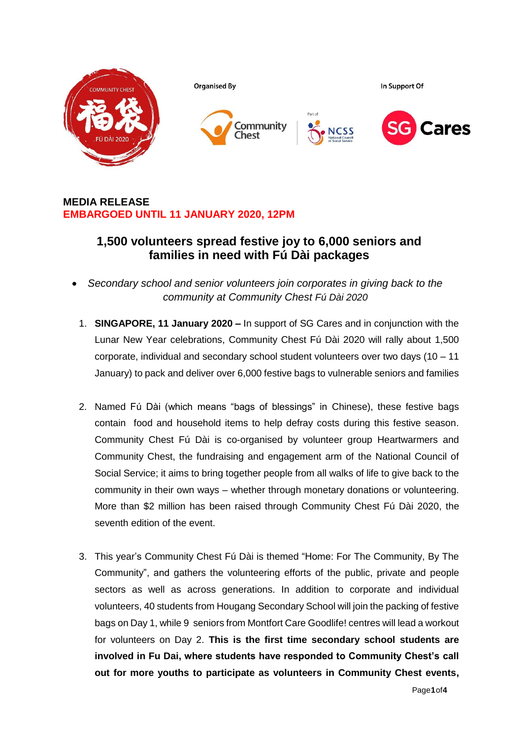

# **MEDIA RELEASE EMBARGOED UNTIL 11 JANUARY 2020, 12PM**

# **1,500 volunteers spread festive joy to 6,000 seniors and families in need with Fú Dài packages**

- *Secondary school and senior volunteers join corporates in giving back to the community at Community Chest Fú Dài 2020*
	- 1. **SINGAPORE, 11 January 2020 –** In support of SG Cares and in conjunction with the Lunar New Year celebrations, Community Chest Fú Dài 2020 will rally about 1,500 corporate, individual and secondary school student volunteers over two days (10 – 11 January) to pack and deliver over 6,000 festive bags to vulnerable seniors and families
- 2. Named Fú Dài (which means "bags of blessings" in Chinese), these festive bags contain food and household items to help defray costs during this festive season. Community Chest Fú Dài is co-organised by volunteer group Heartwarmers and Community Chest, the fundraising and engagement arm of the National Council of Social Service; it aims to bring together people from all walks of life to give back to the community in their own ways – whether through monetary donations or volunteering. More than \$2 million has been raised through Community Chest Fú Dài 2020, the seventh edition of the event.
- 3. This year's Community Chest Fú Dài is themed "Home: For The Community, By The Community", and gathers the volunteering efforts of the public, private and people sectors as well as across generations. In addition to corporate and individual volunteers, 40 students from Hougang Secondary School will join the packing of festive bags on Day 1, while 9 seniors from Montfort Care Goodlife! centres will lead a workout for volunteers on Day 2. **This is the first time secondary school students are involved in Fu Dai, where students have responded to Community Chest's call out for more youths to participate as volunteers in Community Chest events,**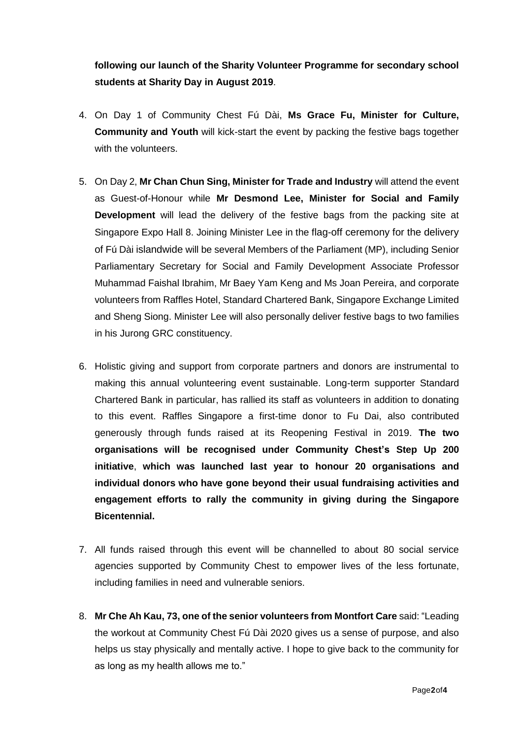**following our launch of the Sharity Volunteer Programme for secondary school students at Sharity Day in August 2019**.

- 4. On Day 1 of Community Chest Fú Dài, **Ms Grace Fu, Minister for Culture, Community and Youth** will kick-start the event by packing the festive bags together with the volunteers.
- 5. On Day 2, **Mr Chan Chun Sing, Minister for Trade and Industry** will attend the event as Guest-of-Honour while **Mr Desmond Lee, Minister for Social and Family Development** will lead the delivery of the festive bags from the packing site at Singapore Expo Hall 8. Joining Minister Lee in the flag-off ceremony for the delivery of Fú Dài islandwide will be several Members of the Parliament (MP), including Senior Parliamentary Secretary for Social and Family Development Associate Professor Muhammad Faishal Ibrahim, Mr Baey Yam Keng and Ms Joan Pereira, and corporate volunteers from Raffles Hotel, Standard Chartered Bank, Singapore Exchange Limited and Sheng Siong. Minister Lee will also personally deliver festive bags to two families in his Jurong GRC constituency.
- 6. Holistic giving and support from corporate partners and donors are instrumental to making this annual volunteering event sustainable. Long-term supporter Standard Chartered Bank in particular, has rallied its staff as volunteers in addition to donating to this event. Raffles Singapore a first-time donor to Fu Dai, also contributed generously through funds raised at its Reopening Festival in 2019. **The two organisations will be recognised under Community Chest's Step Up 200 initiative**, **which was launched last year to honour 20 organisations and individual donors who have gone beyond their usual fundraising activities and engagement efforts to rally the community in giving during the Singapore Bicentennial.**
- 7. All funds raised through this event will be channelled to about 80 social service agencies supported by Community Chest to empower lives of the less fortunate, including families in need and vulnerable seniors.
- 8. **Mr Che Ah Kau, 73, one of the senior volunteers from Montfort Care** said: "Leading the workout at Community Chest Fú Dài 2020 gives us a sense of purpose, and also helps us stay physically and mentally active. I hope to give back to the community for as long as my health allows me to."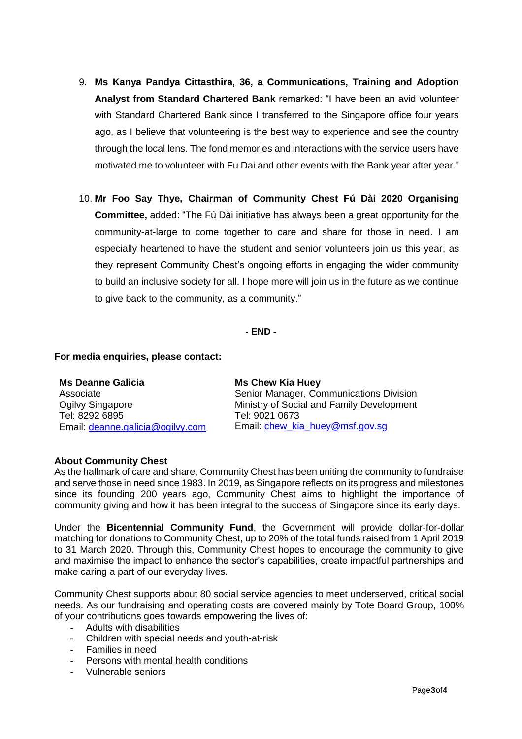- 9. **Ms Kanya Pandya Cittasthira, 36, a Communications, Training and Adoption Analyst from Standard Chartered Bank** remarked: "I have been an avid volunteer with Standard Chartered Bank since I transferred to the Singapore office four years ago, as I believe that volunteering is the best way to experience and see the country through the local lens. The fond memories and interactions with the service users have motivated me to volunteer with Fu Dai and other events with the Bank year after year."
- 10. **Mr Foo Say Thye, Chairman of Community Chest Fú Dài 2020 Organising Committee,** added: "The Fú Dài initiative has always been a great opportunity for the community-at-large to come together to care and share for those in need. I am especially heartened to have the student and senior volunteers join us this year, as they represent Community Chest's ongoing efforts in engaging the wider community to build an inclusive society for all. I hope more will join us in the future as we continue to give back to the community, as a community."

**- END -**

## **For media enquiries, please contact:**

| <b>Ms Chew Kia Huey</b>                   |
|-------------------------------------------|
| Senior Manager, Communications Division   |
| Ministry of Social and Family Development |
| Tel: 9021 0673                            |
| Email: chew kia huey@msf.gov.sg           |
|                                           |

#### **About Community Chest**

As the hallmark of care and share, Community Chest has been uniting the community to fundraise and serve those in need since 1983. In 2019, as Singapore reflects on its progress and milestones since its founding 200 years ago, Community Chest aims to highlight the importance of community giving and how it has been integral to the success of Singapore since its early days.

Under the **Bicentennial Community Fund**, the Government will provide dollar-for-dollar matching for donations to Community Chest, up to 20% of the total funds raised from 1 April 2019 to 31 March 2020. Through this, Community Chest hopes to encourage the community to give and maximise the impact to enhance the sector's capabilities, create impactful partnerships and make caring a part of our everyday lives.

Community Chest supports about 80 social service agencies to meet underserved, critical social needs. As our fundraising and operating costs are covered mainly by Tote Board Group, 100% of your contributions goes towards empowering the lives of:

- Adults with disabilities
- Children with special needs and youth-at-risk
- Families in need
- Persons with mental health conditions
- Vulnerable seniors